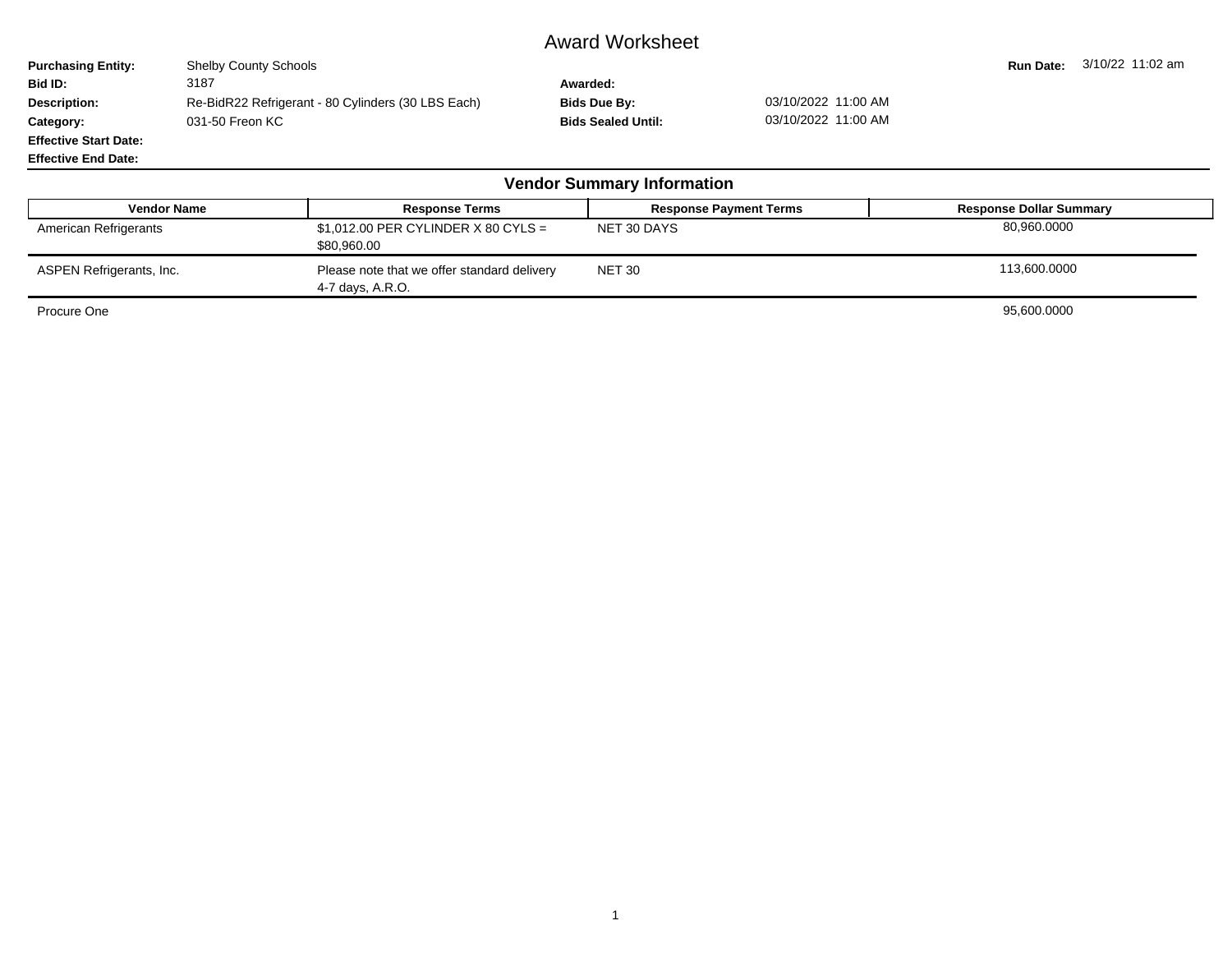## Award Worksheet

**Purchasing Entity:** Shelby County Schools **Run Date: 3/10/22 11:02 am**<br> **Run Date:** 3/10/22 11:02 am<br> **Rid ID:** 3187 3187 **Bid ID:** 3187 **Awarded: Description:** Re-BidR22 Refrigerant - 80 Cylinders (30 LBS Each) **Bids Due By:** 03/10/2022 11:00 AM<br>**Category:** 031-50 Freon KC **C** and Category: 03/10/2022 11:00 AM **Category:** 031-50 Freon KC **Bids Sealed Until:** 031-50 Freon KC **Effective Start Date:**

| <b>Vendor Summary Information</b> |                                                                 |                               |                                |  |  |  |  |  |  |  |
|-----------------------------------|-----------------------------------------------------------------|-------------------------------|--------------------------------|--|--|--|--|--|--|--|
| <b>Vendor Name</b>                | <b>Response Terms</b>                                           | <b>Response Payment Terms</b> | <b>Response Dollar Summary</b> |  |  |  |  |  |  |  |
| American Refrigerants             | $$1,012.00$ PER CYLINDER X 80 CYLS =<br>\$80,960.00             | NET 30 DAYS                   | 80,960.0000                    |  |  |  |  |  |  |  |
| ASPEN Refrigerants, Inc.          | Please note that we offer standard delivery<br>4-7 days, A.R.O. | <b>NET 30</b>                 | 113,600.0000                   |  |  |  |  |  |  |  |
| Procure One                       |                                                                 |                               | 95,600.0000                    |  |  |  |  |  |  |  |

**Effective End Date:**